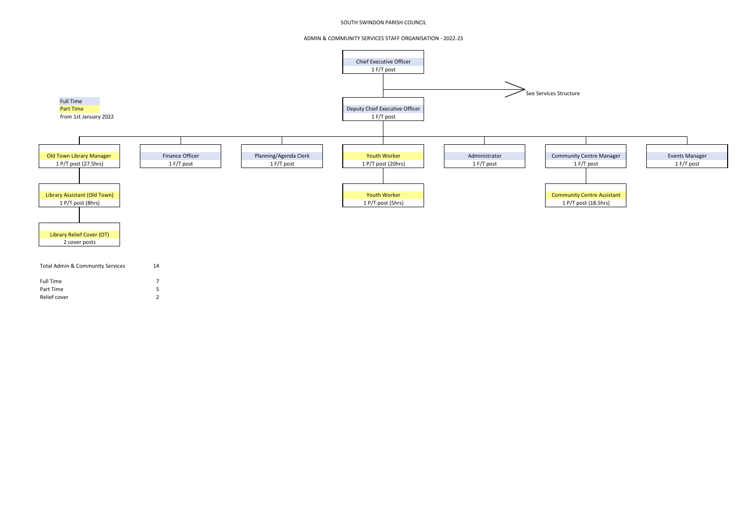## SOUTH SWINDON PARISH COUNCIL

## ADMIN & COMMUNITY SERVICES STAFF ORGANISATION - 2022-23